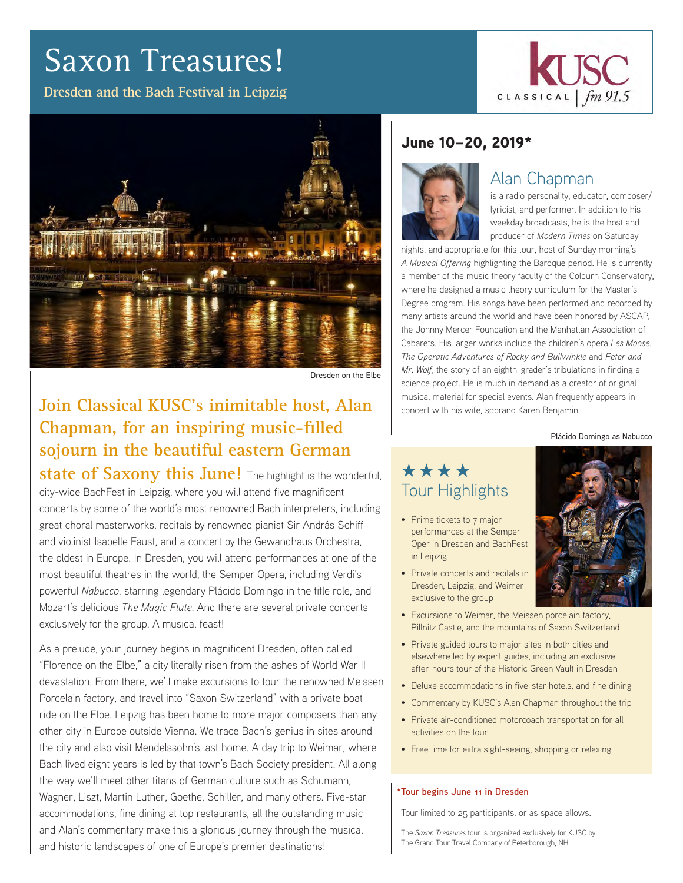# Saxon Treasures!

**Dresden and the Bach Festival in Leipzig** 





Dresden on the Elbe

# **Join Classical KUSC's inimitable host, Alan Chapman, for an inspiring music-filled sojourn in the beautiful eastern German**

**state of Saxony this June!** The highlight is the wonderful, city-wide BachFest in Leipzig, where you will attend five magnificent concerts by some of the world's most renowned Bach interpreters, including great choral masterworks, recitals by renowned pianist Sir András Schiff and violinist Isabelle Faust, and a concert by the Gewandhaus Orchestra, the oldest in Europe. In Dresden, you will attend performances at one of the most beautiful theatres in the world, the Semper Opera, including Verdi's powerful *Nabucco*, starring legendary Plácido Domingo in the title role, and Mozart's delicious *The Magic Flute*. And there are several private concerts exclusively for the group. A musical feast!

As a prelude, your journey begins in magnificent Dresden, often called "Florence on the Elbe," a city literally risen from the ashes of World War II devastation. From there, we'll make excursions to tour the renowned Meissen Porcelain factory, and travel into "Saxon Switzerland" with a private boat ride on the Elbe. Leipzig has been home to more major composers than any other city in Europe outside Vienna. We trace Bach's genius in sites around the city and also visit Mendelssohn's last home. A day trip to Weimar, where Bach lived eight years is led by that town's Bach Society president. All along the way we'll meet other titans of German culture such as Schumann, Wagner, Liszt, Martin Luther, Goethe, Schiller, and many others. Five-star accommodations, fine dining at top restaurants, all the outstanding music and Alan's commentary make this a glorious journey through the musical and historic landscapes of one of Europe's premier destinations!

## June 10–20, 2019\*



## Alan Chapman

is a radio personality, educator, composer/ lyricist, and performer. In addition to his weekday broadcasts, he is the host and producer of *Modern Times* on Saturday

nights, and appropriate for this tour, host of Sunday morning's *A Musical Offering* highlighting the Baroque period. He is currently a member of the music theory faculty of the Colburn Conservatory, where he designed a music theory curriculum for the Master's Degree program. His songs have been performed and recorded by many artists around the world and have been honored by ASCAP, the Johnny Mercer Foundation and the Manhattan Association of Cabarets. His larger works include the children's opera *Les Moose: The Operatic Adventures of Rocky and Bullwinkle* and *Peter and Mr. Wolf*, the story of an eighth-grader's tribulations in finding a science project. He is much in demand as a creator of original musical material for special events. Alan frequently appears in concert with his wife, soprano Karen Benjamin.

#### Plácido Domingo as Nabucco

# \*\*\*\* Tour Highlights

• Prime tickets to 7 major performances at the Semper Oper in Dresden and BachFest in Leipzig



- Private concerts and recitals in Dresden, Leipzig, and Weimer exclusive to the group
- Excursions to Weimar, the Meissen porcelain factory, Pillnitz Castle, and the mountains of Saxon Switzerland
- Private guided tours to major sites in both cities and elsewhere led by expert guides, including an exclusive after-hours tour of the Historic Green Vault in Dresden
- Deluxe accommodations in five-star hotels, and fine dining
- Commentary by KUSC's Alan Chapman throughout the trip
- Private air-conditioned motorcoach transportation for all activities on the tour
- Free time for extra sight-seeing, shopping or relaxing

#### **\*Tour begins June 11 in Dresden**

Tour limited to 25 participants, or as space allows.

The *Saxon Treasures* tour is organized exclusively for KUSC by The Grand Tour Travel Company of Peterborough, NH.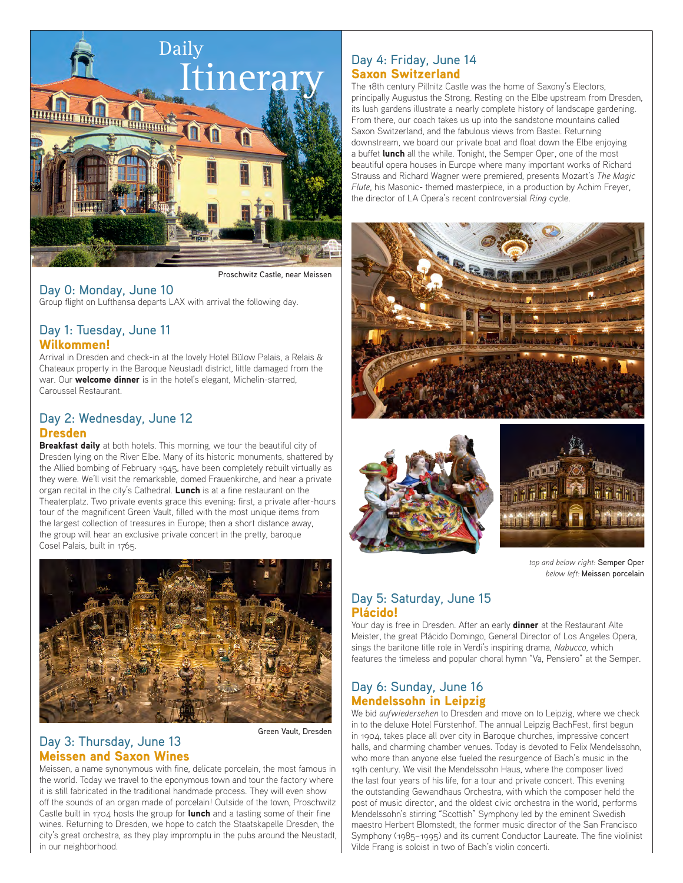

Proschwitz Castle, near Meissen

#### Day 0: Monday, June 10 Group flight on Lufthansa departs LAX with arrival the following day.

## Day 1: Tuesday, June 11 Wilkommen!

Arrival in Dresden and check-in at the lovely Hotel Bülow Palais, a Relais & Chateaux property in the Baroque Neustadt district, little damaged from the war. Our **welcome dinner** is in the hotel's elegant, Michelin-starred, Caroussel Restaurant.

#### Day 2: Wednesday, June 12 Dresden

Breakfast daily at both hotels. This morning, we tour the beautiful city of Dresden lying on the River Elbe. Many of its historic monuments, shattered by the Allied bombing of February 1945, have been completely rebuilt virtually as they were. We'll visit the remarkable, domed Frauenkirche, and hear a private organ recital in the city's Cathedral. Lunch is at a fine restaurant on the Theaterplatz. Two private events grace this evening: first, a private after-hours tour of the magnificent Green Vault, filled with the most unique items from the largest collection of treasures in Europe; then a short distance away, the group will hear an exclusive private concert in the pretty, baroque Cosel Palais, built in 1765.



#### Day 3: Thursday, June 13 Meissen and Saxon Wines

Green Vault, Dresden

Meissen, a name synonymous with fine, delicate porcelain, the most famous in the world. Today we travel to the eponymous town and tour the factory where it is still fabricated in the traditional handmade process. They will even show off the sounds of an organ made of porcelain! Outside of the town, Proschwitz Castle built in 1704 hosts the group for **lunch** and a tasting some of their fine wines. Returning to Dresden, we hope to catch the Staatskapelle Dresden, the city's great orchestra, as they play impromptu in the pubs around the Neustadt, in our neighborhood.

## Day 4: Friday, June 14 Saxon Switzerland

The 18th century Pillnitz Castle was the home of Saxony's Electors, principally Augustus the Strong. Resting on the Elbe upstream from Dresden, its lush gardens illustrate a nearly complete history of landscape gardening. From there, our coach takes us up into the sandstone mountains called Saxon Switzerland, and the fabulous views from Bastei. Returning downstream, we board our private boat and float down the Elbe enjoying a buffet lunch all the while. Tonight, the Semper Oper, one of the most beautiful opera houses in Europe where many important works of Richard Strauss and Richard Wagner were premiered, presents Mozart's *The Magic Flute*, his Masonic- themed masterpiece, in a production by Achim Freyer, the director of LA Opera's recent controversial *Ring* cycle.







*top and below right:* Semper Oper *below left:* Meissen porcelain

#### Day 5: Saturday, June 15 Plácido!

Your day is free in Dresden. After an early **dinner** at the Restaurant Alte Meister, the great Plácido Domingo, General Director of Los Angeles Opera, sings the baritone title role in Verdi's inspiring drama, *Nabucco*, which features the timeless and popular choral hymn "Va, Pensiero" at the Semper.

#### Day 6: Sunday, June 16 Mendelssohn in Leipzig

We bid *aufwiedersehen* to Dresden and move on to Leipzig, where we check in to the deluxe Hotel Fürstenhof. The annual Leipzig BachFest, first begun in 1904, takes place all over city in Baroque churches, impressive concert halls, and charming chamber venues. Today is devoted to Felix Mendelssohn, who more than anyone else fueled the resurgence of Bach's music in the 19th century. We visit the Mendelssohn Haus, where the composer lived the last four years of his life, for a tour and private concert. This evening the outstanding Gewandhaus Orchestra, with which the composer held the post of music director, and the oldest civic orchestra in the world, performs Mendelssohn's stirring "Scottish" Symphony led by the eminent Swedish maestro Herbert Blomstedt, the former music director of the San Francisco Symphony (1985–1995) and its current Conductor Laureate. The fine violinist Vilde Frang is soloist in two of Bach's violin concerti.